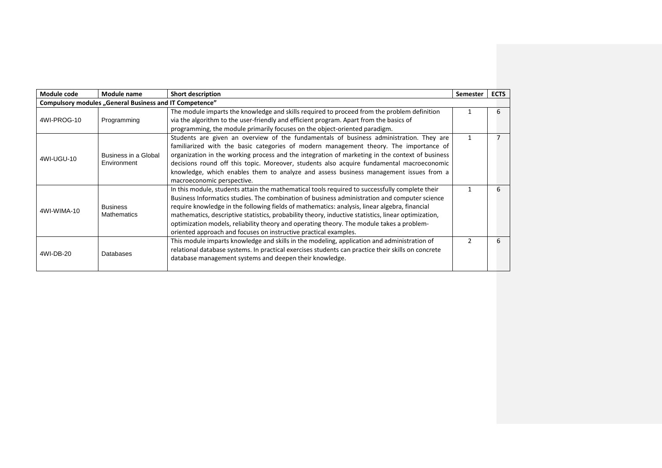| Module code | Module name                                             | <b>Short description</b>                                                                                                                                                                                                                                                                                                                                                                                                                                                                                                                                                 | <b>Semester</b> | <b>ECTS</b> |
|-------------|---------------------------------------------------------|--------------------------------------------------------------------------------------------------------------------------------------------------------------------------------------------------------------------------------------------------------------------------------------------------------------------------------------------------------------------------------------------------------------------------------------------------------------------------------------------------------------------------------------------------------------------------|-----------------|-------------|
|             | Compulsory modules "General Business and IT Competence" |                                                                                                                                                                                                                                                                                                                                                                                                                                                                                                                                                                          |                 |             |
| 4WI-PROG-10 | Programming                                             | The module imparts the knowledge and skills required to proceed from the problem definition<br>via the algorithm to the user-friendly and efficient program. Apart from the basics of<br>programming, the module primarily focuses on the object-oriented paradigm.                                                                                                                                                                                                                                                                                                      |                 | 6           |
| 4WI-UGU-10  | Business in a Global<br>Environment                     | Students are given an overview of the fundamentals of business administration. They are<br>familiarized with the basic categories of modern management theory. The importance of<br>organization in the working process and the integration of marketing in the context of business<br>decisions round off this topic. Moreover, students also acquire fundamental macroeconomic<br>knowledge, which enables them to analyze and assess business management issues from a<br>macroeconomic perspective.                                                                  |                 |             |
| 4WI-WIMA-10 | <b>Business</b><br><b>Mathematics</b>                   | In this module, students attain the mathematical tools required to successfully complete their<br>Business Informatics studies. The combination of business administration and computer science<br>require knowledge in the following fields of mathematics: analysis, linear algebra, financial<br>mathematics, descriptive statistics, probability theory, inductive statistics, linear optimization,<br>optimization models, reliability theory and operating theory. The module takes a problem-<br>oriented approach and focuses on instructive practical examples. |                 | 6           |
| 4WI-DB-20   | Databases                                               | This module imparts knowledge and skills in the modeling, application and administration of<br>relational database systems. In practical exercises students can practice their skills on concrete<br>database management systems and deepen their knowledge.                                                                                                                                                                                                                                                                                                             |                 | 6           |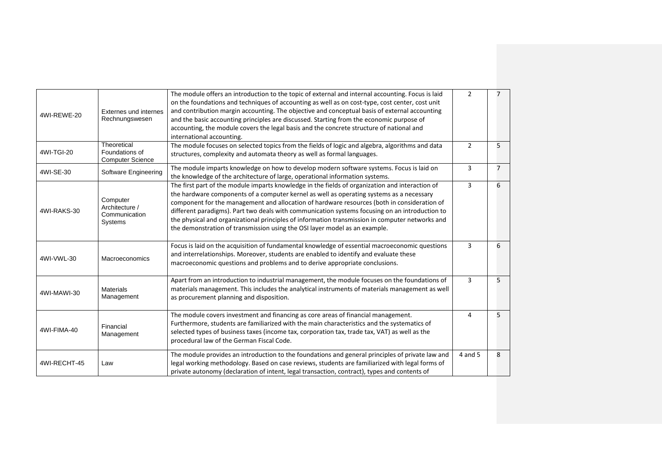| 4WI-REWE-20  | Externes und internes<br>Rechnungswesen                  | The module offers an introduction to the topic of external and internal accounting. Focus is laid<br>on the foundations and techniques of accounting as well as on cost-type, cost center, cost unit<br>and contribution margin accounting. The objective and conceptual basis of external accounting<br>and the basic accounting principles are discussed. Starting from the economic purpose of<br>accounting, the module covers the legal basis and the concrete structure of national and<br>international accounting.                                                    | $\overline{2}$ | $\overline{7}$ |
|--------------|----------------------------------------------------------|-------------------------------------------------------------------------------------------------------------------------------------------------------------------------------------------------------------------------------------------------------------------------------------------------------------------------------------------------------------------------------------------------------------------------------------------------------------------------------------------------------------------------------------------------------------------------------|----------------|----------------|
| 4WI-TGI-20   | Theoretical<br>Foundations of<br><b>Computer Science</b> | The module focuses on selected topics from the fields of logic and algebra, algorithms and data<br>structures, complexity and automata theory as well as formal languages.                                                                                                                                                                                                                                                                                                                                                                                                    | $\overline{2}$ | 5              |
| 4WI-SE-30    | Software Engineering                                     | The module imparts knowledge on how to develop modern software systems. Focus is laid on<br>the knowledge of the architecture of large, operational information systems.                                                                                                                                                                                                                                                                                                                                                                                                      | 3              | $\overline{7}$ |
| 4WI-RAKS-30  | Computer<br>Architecture /<br>Communication<br>Systems   | The first part of the module imparts knowledge in the fields of organization and interaction of<br>the hardware components of a computer kernel as well as operating systems as a necessary<br>component for the management and allocation of hardware resources (both in consideration of<br>different paradigms). Part two deals with communication systems focusing on an introduction to<br>the physical and organizational principles of information transmission in computer networks and<br>the demonstration of transmission using the OSI layer model as an example. | 3              | 6              |
| 4WI-VWL-30   | <b>Macroeconomics</b>                                    | Focus is laid on the acquisition of fundamental knowledge of essential macroeconomic questions<br>and interrelationships. Moreover, students are enabled to identify and evaluate these<br>macroeconomic questions and problems and to derive appropriate conclusions.                                                                                                                                                                                                                                                                                                        | 3              | 6              |
| 4WI-MAWI-30  | <b>Materials</b><br>Management                           | Apart from an introduction to industrial management, the module focuses on the foundations of<br>materials management. This includes the analytical instruments of materials management as well<br>as procurement planning and disposition.                                                                                                                                                                                                                                                                                                                                   | 3              | 5              |
| 4WI-FIMA-40  | Financial<br>Management                                  | The module covers investment and financing as core areas of financial management.<br>Furthermore, students are familiarized with the main characteristics and the systematics of<br>selected types of business taxes (income tax, corporation tax, trade tax, VAT) as well as the<br>procedural law of the German Fiscal Code.                                                                                                                                                                                                                                                | 4              | 5              |
| 4WI-RECHT-45 | Law                                                      | The module provides an introduction to the foundations and general principles of private law and<br>legal working methodology. Based on case reviews, students are familiarized with legal forms of<br>private autonomy (declaration of intent, legal transaction, contract), types and contents of                                                                                                                                                                                                                                                                           | 4 and 5        | 8              |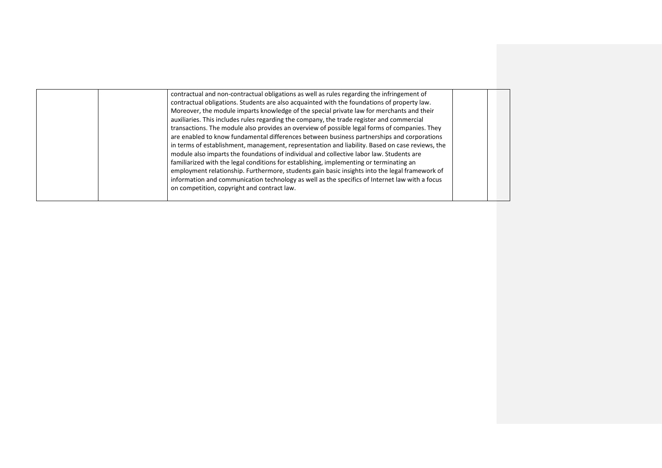| contractual and non-contractual obligations as well as rules regarding the infringement of<br>contractual obligations. Students are also acquainted with the foundations of property law.<br>Moreover, the module imparts knowledge of the special private law for merchants and their<br>auxiliaries. This includes rules regarding the company, the trade register and commercial<br>transactions. The module also provides an overview of possible legal forms of companies. They<br>are enabled to know fundamental differences between business partnerships and corporations<br>in terms of establishment, management, representation and liability. Based on case reviews, the<br>module also imparts the foundations of individual and collective labor law. Students are<br>familiarized with the legal conditions for establishing, implementing or terminating an<br>employment relationship. Furthermore, students gain basic insights into the legal framework of |  |
|--------------------------------------------------------------------------------------------------------------------------------------------------------------------------------------------------------------------------------------------------------------------------------------------------------------------------------------------------------------------------------------------------------------------------------------------------------------------------------------------------------------------------------------------------------------------------------------------------------------------------------------------------------------------------------------------------------------------------------------------------------------------------------------------------------------------------------------------------------------------------------------------------------------------------------------------------------------------------------|--|
| information and communication technology as well as the specifics of Internet law with a focus<br>on competition, copyright and contract law.                                                                                                                                                                                                                                                                                                                                                                                                                                                                                                                                                                                                                                                                                                                                                                                                                                  |  |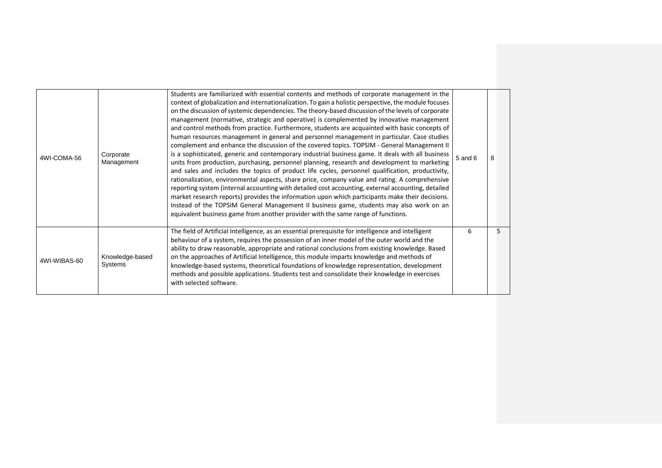| 4WI-COMA-56  | Corporate<br>Management    | Students are familiarized with essential contents and methods of corporate management in the<br>context of globalization and internationalization. To gain a holistic perspective, the module focuses<br>on the discussion of systemic dependencies. The theory-based discussion of the levels of corporate<br>management (normative, strategic and operative) is complemented by innovative management<br>and control methods from practice. Furthermore, students are acquainted with basic concepts of<br>human resources management in general and personnel management in particular. Case studies<br>complement and enhance the discussion of the covered topics. TOPSIM - General Management II<br>is a sophisticated, generic and contemporary industrial business game. It deals with all business<br>units from production, purchasing, personnel planning, research and development to marketing<br>and sales and includes the topics of product life cycles, personnel qualification, productivity,<br>rationalization, environmental aspects, share price, company value and rating. A comprehensive<br>reporting system (internal accounting with detailed cost accounting, external accounting, detailed<br>market research reports) provides the information upon which participants make their decisions.<br>Instead of the TOPSIM General Management II business game, students may also work on an<br>equivalent business game from another provider with the same range of functions. | $5$ and $6$ | 8 |
|--------------|----------------------------|-----------------------------------------------------------------------------------------------------------------------------------------------------------------------------------------------------------------------------------------------------------------------------------------------------------------------------------------------------------------------------------------------------------------------------------------------------------------------------------------------------------------------------------------------------------------------------------------------------------------------------------------------------------------------------------------------------------------------------------------------------------------------------------------------------------------------------------------------------------------------------------------------------------------------------------------------------------------------------------------------------------------------------------------------------------------------------------------------------------------------------------------------------------------------------------------------------------------------------------------------------------------------------------------------------------------------------------------------------------------------------------------------------------------------------------------------------------------------------------------------------------|-------------|---|
| 4WI-WIBAS-60 | Knowledge-based<br>Systems | The field of Artificial Intelligence, as an essential prerequisite for intelligence and intelligent<br>behaviour of a system, requires the possession of an inner model of the outer world and the<br>ability to draw reasonable, appropriate and rational conclusions from existing knowledge. Based<br>on the approaches of Artificial Intelligence, this module imparts knowledge and methods of<br>knowledge-based systems, theoretical foundations of knowledge representation, development<br>methods and possible applications. Students test and consolidate their knowledge in exercises<br>with selected software.                                                                                                                                                                                                                                                                                                                                                                                                                                                                                                                                                                                                                                                                                                                                                                                                                                                                              | 6           |   |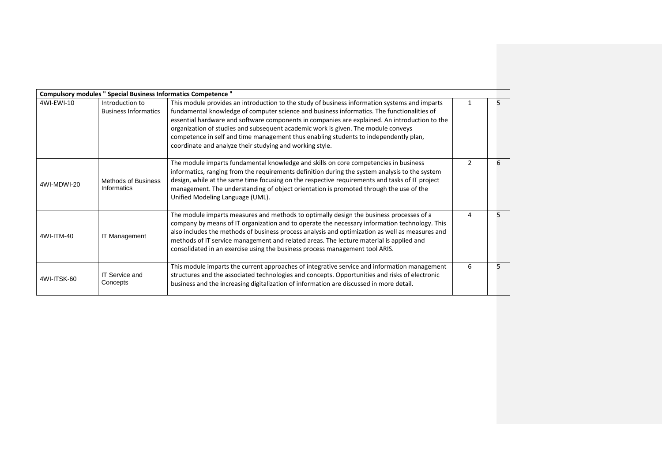|             | Compulsory modules " Special Business Informatics Competence " |                                                                                                                                                                                                                                                                                                                                                                                                                                                                                                                                       |   |   |
|-------------|----------------------------------------------------------------|---------------------------------------------------------------------------------------------------------------------------------------------------------------------------------------------------------------------------------------------------------------------------------------------------------------------------------------------------------------------------------------------------------------------------------------------------------------------------------------------------------------------------------------|---|---|
| 4WI-EWI-10  | Introduction to<br><b>Business Informatics</b>                 | This module provides an introduction to the study of business information systems and imparts<br>fundamental knowledge of computer science and business informatics. The functionalities of<br>essential hardware and software components in companies are explained. An introduction to the<br>organization of studies and subsequent academic work is given. The module conveys<br>competence in self and time management thus enabling students to independently plan,<br>coordinate and analyze their studying and working style. |   |   |
| 4WI-MDWI-20 | <b>Methods of Business</b><br>Informatics                      | The module imparts fundamental knowledge and skills on core competencies in business<br>informatics, ranging from the requirements definition during the system analysis to the system<br>design, while at the same time focusing on the respective requirements and tasks of IT project<br>management. The understanding of object orientation is promoted through the use of the<br>Unified Modeling Language (UML).                                                                                                                |   | 6 |
| 4WI-ITM-40  | <b>IT Management</b>                                           | The module imparts measures and methods to optimally design the business processes of a<br>company by means of IT organization and to operate the necessary information technology. This<br>also includes the methods of business process analysis and optimization as well as measures and<br>methods of IT service management and related areas. The lecture material is applied and<br>consolidated in an exercise using the business process management tool ARIS.                                                                | 4 |   |
| 4WI-ITSK-60 | <b>IT Service and</b><br>Concepts                              | This module imparts the current approaches of integrative service and information management<br>structures and the associated technologies and concepts. Opportunities and risks of electronic<br>business and the increasing digitalization of information are discussed in more detail.                                                                                                                                                                                                                                             | 6 |   |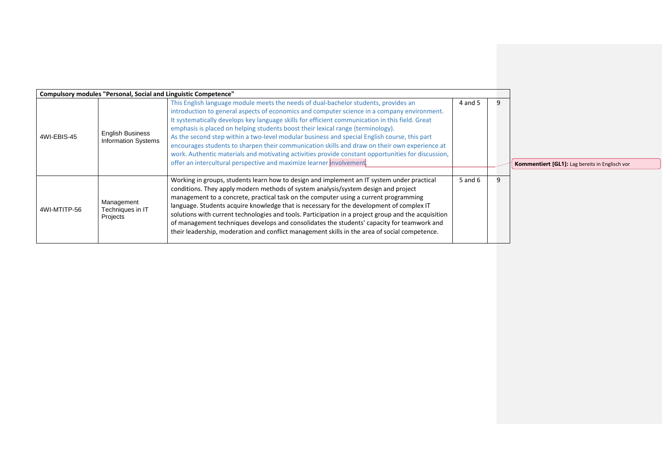|              | <b>Compulsory modules "Personal, Social and Linguistic Competence"</b> |                                                                                                                                                                                                                                                                                                                                                                                                                                                                                                                                                                                                                                                                                                                                                         |             |                                                       |
|--------------|------------------------------------------------------------------------|---------------------------------------------------------------------------------------------------------------------------------------------------------------------------------------------------------------------------------------------------------------------------------------------------------------------------------------------------------------------------------------------------------------------------------------------------------------------------------------------------------------------------------------------------------------------------------------------------------------------------------------------------------------------------------------------------------------------------------------------------------|-------------|-------------------------------------------------------|
| 4WI-EBIS-45  | <b>English Business</b><br><b>Information Systems</b>                  | This English language module meets the needs of dual-bachelor students, provides an<br>introduction to general aspects of economics and computer science in a company environment.<br>It systematically develops key language skills for efficient communication in this field. Great<br>emphasis is placed on helping students boost their lexical range (terminology).<br>As the second step within a two-level modular business and special English course, this part<br>encourages students to sharpen their communication skills and draw on their own experience at<br>work. Authentic materials and motivating activities provide constant opportunities for discussion,<br>offer an intercultural perspective and maximize learner involvement. | 4 and 5     | <b>Kommentiert [GL1]:</b> Lag bereits in Englisch vor |
| 4WI-MTITP-56 | Management<br>Techniques in IT<br>Projects                             | Working in groups, students learn how to design and implement an IT system under practical<br>conditions. They apply modern methods of system analysis/system design and project<br>management to a concrete, practical task on the computer using a current programming<br>language. Students acquire knowledge that is necessary for the development of complex IT<br>solutions with current technologies and tools. Participation in a project group and the acquisition<br>of management techniques develops and consolidates the students' capacity for teamwork and<br>their leadership, moderation and conflict management skills in the area of social competence.                                                                              | $5$ and $6$ |                                                       |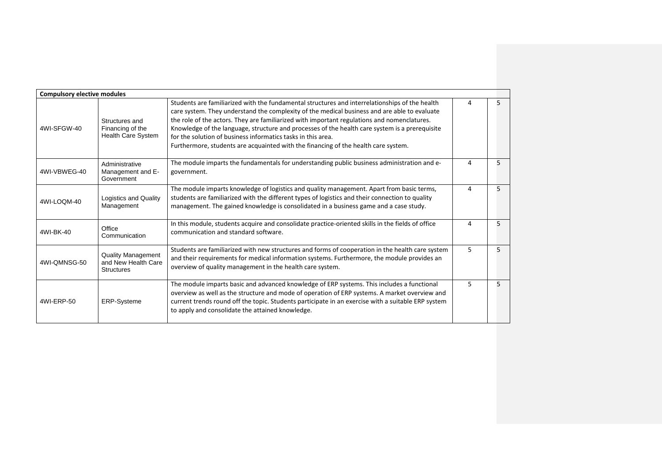| <b>Compulsory elective modules</b> |                                                                       |                                                                                                                                                                                                                                                                                                                                                                                                                                                                                                                                                       |   |   |
|------------------------------------|-----------------------------------------------------------------------|-------------------------------------------------------------------------------------------------------------------------------------------------------------------------------------------------------------------------------------------------------------------------------------------------------------------------------------------------------------------------------------------------------------------------------------------------------------------------------------------------------------------------------------------------------|---|---|
| 4WI-SFGW-40                        | Structures and<br>Financing of the<br>Health Care System              | Students are familiarized with the fundamental structures and interrelationships of the health<br>care system. They understand the complexity of the medical business and are able to evaluate<br>the role of the actors. They are familiarized with important regulations and nomenclatures.<br>Knowledge of the language, structure and processes of the health care system is a prerequisite<br>for the solution of business informatics tasks in this area.<br>Furthermore, students are acquainted with the financing of the health care system. | Δ | 5 |
| 4WI-VBWEG-40                       | Administrative<br>Management and E-<br>Government                     | The module imparts the fundamentals for understanding public business administration and e-<br>government.                                                                                                                                                                                                                                                                                                                                                                                                                                            | 4 | 5 |
| 4WI-LOOM-40                        | Logistics and Quality<br>Management                                   | The module imparts knowledge of logistics and quality management. Apart from basic terms,<br>students are familiarized with the different types of logistics and their connection to quality<br>management. The gained knowledge is consolidated in a business game and a case study.                                                                                                                                                                                                                                                                 | Δ | 5 |
| 4WI-BK-40                          | Office<br>Communication                                               | In this module, students acquire and consolidate practice-oriented skills in the fields of office<br>communication and standard software.                                                                                                                                                                                                                                                                                                                                                                                                             | 4 | 5 |
| 4WI-OMNSG-50                       | <b>Quality Management</b><br>and New Health Care<br><b>Structures</b> | Students are familiarized with new structures and forms of cooperation in the health care system<br>and their requirements for medical information systems. Furthermore, the module provides an<br>overview of quality management in the health care system.                                                                                                                                                                                                                                                                                          | 5 | 5 |
| 4WI-ERP-50                         | <b>ERP-Systeme</b>                                                    | The module imparts basic and advanced knowledge of ERP systems. This includes a functional<br>overview as well as the structure and mode of operation of ERP systems. A market overview and<br>current trends round off the topic. Students participate in an exercise with a suitable ERP system<br>to apply and consolidate the attained knowledge.                                                                                                                                                                                                 | 5 | 5 |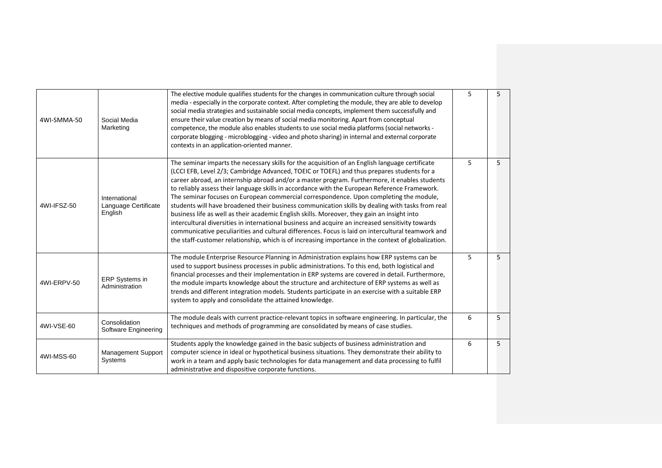| 4WI-SMMA-50 | Social Media<br>Marketing                        | The elective module qualifies students for the changes in communication culture through social<br>media - especially in the corporate context. After completing the module, they are able to develop<br>social media strategies and sustainable social media concepts, implement them successfully and<br>ensure their value creation by means of social media monitoring. Apart from conceptual<br>competence, the module also enables students to use social media platforms (social networks -<br>corporate blogging - microblogging - video and photo sharing) in internal and external corporate<br>contexts in an application-oriented manner.                                                                                                                                                                                                                                                                                                                                                         | 5 | 5 |
|-------------|--------------------------------------------------|--------------------------------------------------------------------------------------------------------------------------------------------------------------------------------------------------------------------------------------------------------------------------------------------------------------------------------------------------------------------------------------------------------------------------------------------------------------------------------------------------------------------------------------------------------------------------------------------------------------------------------------------------------------------------------------------------------------------------------------------------------------------------------------------------------------------------------------------------------------------------------------------------------------------------------------------------------------------------------------------------------------|---|---|
| 4WI-IFSZ-50 | International<br>Language Certificate<br>English | The seminar imparts the necessary skills for the acquisition of an English language certificate<br>(LCCI EFB, Level 2/3; Cambridge Advanced, TOEIC or TOEFL) and thus prepares students for a<br>career abroad, an internship abroad and/or a master program. Furthermore, it enables students<br>to reliably assess their language skills in accordance with the European Reference Framework.<br>The seminar focuses on European commercial correspondence. Upon completing the module,<br>students will have broadened their business communication skills by dealing with tasks from real<br>business life as well as their academic English skills. Moreover, they gain an insight into<br>intercultural diversities in international business and acquire an increased sensitivity towards<br>communicative peculiarities and cultural differences. Focus is laid on intercultural teamwork and<br>the staff-customer relationship, which is of increasing importance in the context of globalization. | 5 | 5 |
| 4WI-ERPV-50 | ERP Systems in<br>Administration                 | The module Enterprise Resource Planning in Administration explains how ERP systems can be<br>used to support business processes in public administrations. To this end, both logistical and<br>financial processes and their implementation in ERP systems are covered in detail. Furthermore,<br>the module imparts knowledge about the structure and architecture of ERP systems as well as<br>trends and different integration models. Students participate in an exercise with a suitable ERP<br>system to apply and consolidate the attained knowledge.                                                                                                                                                                                                                                                                                                                                                                                                                                                 | 5 | 5 |
| 4WI-VSE-60  | Consolidation<br>Software Engineering            | The module deals with current practice-relevant topics in software engineering. In particular, the<br>techniques and methods of programming are consolidated by means of case studies.                                                                                                                                                                                                                                                                                                                                                                                                                                                                                                                                                                                                                                                                                                                                                                                                                       | 6 | 5 |
| 4WI-MSS-60  | <b>Management Support</b><br>Systems             | Students apply the knowledge gained in the basic subjects of business administration and<br>computer science in ideal or hypothetical business situations. They demonstrate their ability to<br>work in a team and apply basic technologies for data management and data processing to fulfil<br>administrative and dispositive corporate functions.                                                                                                                                                                                                                                                                                                                                                                                                                                                                                                                                                                                                                                                         | 6 | 5 |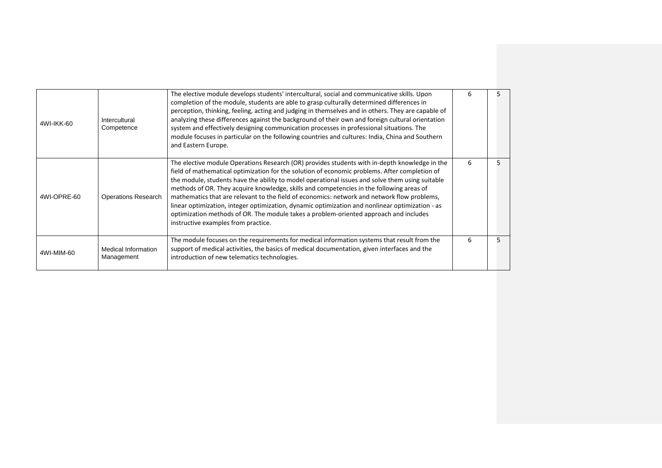| 4WI-IKK-60  | Intercultural<br>Competence       | The elective module develops students' intercultural, social and communicative skills. Upon<br>completion of the module, students are able to grasp culturally determined differences in<br>perception, thinking, feeling, acting and judging in themselves and in others. They are capable of<br>analyzing these differences against the background of their own and foreign cultural orientation<br>system and effectively designing communication processes in professional situations. The<br>module focuses in particular on the following countries and cultures: India, China and Southern<br>and Eastern Europe.                                                                                                        | 6 |  |
|-------------|-----------------------------------|---------------------------------------------------------------------------------------------------------------------------------------------------------------------------------------------------------------------------------------------------------------------------------------------------------------------------------------------------------------------------------------------------------------------------------------------------------------------------------------------------------------------------------------------------------------------------------------------------------------------------------------------------------------------------------------------------------------------------------|---|--|
| 4WI-OPRE-60 | <b>Operations Research</b>        | The elective module Operations Research (OR) provides students with in-depth knowledge in the<br>field of mathematical optimization for the solution of economic problems. After completion of<br>the module, students have the ability to model operational issues and solve them using suitable<br>methods of OR. They acquire knowledge, skills and competencies in the following areas of<br>mathematics that are relevant to the field of economics: network and network flow problems,<br>linear optimization, integer optimization, dynamic optimization and nonlinear optimization - as<br>optimization methods of OR. The module takes a problem-oriented approach and includes<br>instructive examples from practice. | 6 |  |
| 4WI-MIM-60  | Medical Information<br>Management | The module focuses on the requirements for medical information systems that result from the<br>support of medical activities, the basics of medical documentation, given interfaces and the<br>introduction of new telematics technologies.                                                                                                                                                                                                                                                                                                                                                                                                                                                                                     | 6 |  |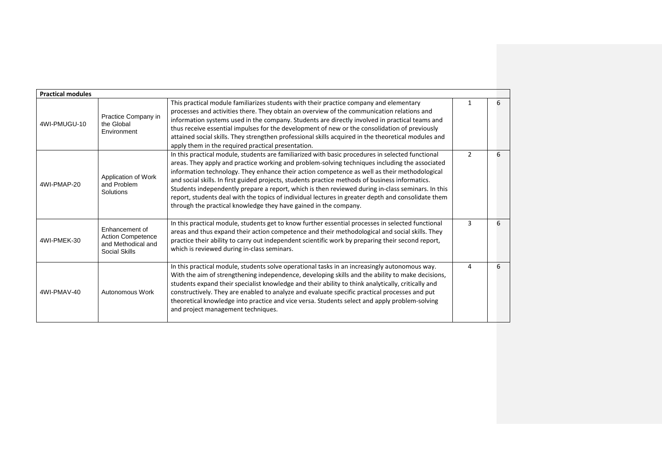| <b>Practical modules</b> |                                                                                   |                                                                                                                                                                                                                                                                                                                                                                                                                                                                                                                                                                                                                                                                                      |               |   |
|--------------------------|-----------------------------------------------------------------------------------|--------------------------------------------------------------------------------------------------------------------------------------------------------------------------------------------------------------------------------------------------------------------------------------------------------------------------------------------------------------------------------------------------------------------------------------------------------------------------------------------------------------------------------------------------------------------------------------------------------------------------------------------------------------------------------------|---------------|---|
| 4WI-PMUGU-10             | Practice Company in<br>the Global<br>Environment                                  | This practical module familiarizes students with their practice company and elementary<br>processes and activities there. They obtain an overview of the communication relations and<br>information systems used in the company. Students are directly involved in practical teams and<br>thus receive essential impulses for the development of new or the consolidation of previously<br>attained social skills. They strengthen professional skills acquired in the theoretical modules and<br>apply them in the required practical presentation.                                                                                                                                 |               | 6 |
| 4WI-PMAP-20              | Application of Work<br>and Problem<br>Solutions                                   | In this practical module, students are familiarized with basic procedures in selected functional<br>areas. They apply and practice working and problem-solving techniques including the associated<br>information technology. They enhance their action competence as well as their methodological<br>and social skills. In first guided projects, students practice methods of business informatics.<br>Students independently prepare a report, which is then reviewed during in-class seminars. In this<br>report, students deal with the topics of individual lectures in greater depth and consolidate them<br>through the practical knowledge they have gained in the company. | $\mathcal{P}$ | 6 |
| 4WI-PMEK-30              | Enhancement of<br><b>Action Competence</b><br>and Methodical and<br>Social Skills | In this practical module, students get to know further essential processes in selected functional<br>areas and thus expand their action competence and their methodological and social skills. They<br>practice their ability to carry out independent scientific work by preparing their second report,<br>which is reviewed during in-class seminars.                                                                                                                                                                                                                                                                                                                              | 3             | 6 |
| 4WI-PMAV-40              | Autonomous Work                                                                   | In this practical module, students solve operational tasks in an increasingly autonomous way.<br>With the aim of strengthening independence, developing skills and the ability to make decisions,<br>students expand their specialist knowledge and their ability to think analytically, critically and<br>constructively. They are enabled to analyze and evaluate specific practical processes and put<br>theoretical knowledge into practice and vice versa. Students select and apply problem-solving<br>and project management techniques.                                                                                                                                      | Δ             | 6 |